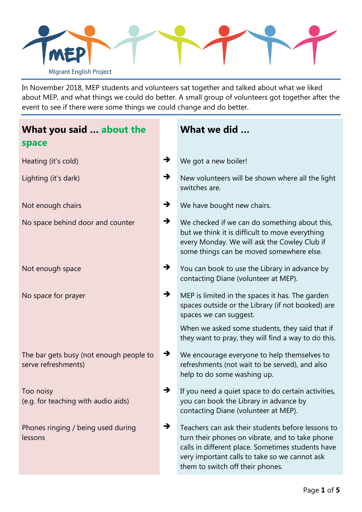

In November 2018, MEP students and volunteers sat together and talked about what we liked about MEP, and what things we could do better. A small group of volunteers got together after the event to see if there were some things we could change and do better.

| What you said  about the<br>space                              |               | What we did                                                                                                                                                                                                                                    |
|----------------------------------------------------------------|---------------|------------------------------------------------------------------------------------------------------------------------------------------------------------------------------------------------------------------------------------------------|
| Heating (it's cold)                                            | →             | We got a new boiler!                                                                                                                                                                                                                           |
| Lighting (it's dark)                                           | →             | New volunteers will be shown where all the light<br>switches are.                                                                                                                                                                              |
| Not enough chairs                                              | $\rightarrow$ | We have bought new chairs.                                                                                                                                                                                                                     |
| No space behind door and counter                               | →             | We checked if we can do something about this,<br>but we think it is difficult to move everything<br>every Monday. We will ask the Cowley Club if<br>some things can be moved somewhere else.                                                   |
| Not enough space                                               | →             | You can book to use the Library in advance by<br>contacting Diane (volunteer at MEP).                                                                                                                                                          |
| No space for prayer                                            | $\rightarrow$ | MEP is limited in the spaces it has. The garden<br>spaces outside or the Library (if not booked) are<br>spaces we can suggest.                                                                                                                 |
|                                                                |               | When we asked some students, they said that if<br>they want to pray, they will find a way to do this.                                                                                                                                          |
| The bar gets busy (not enough people to<br>serve refreshments) | $\rightarrow$ | We encourage everyone to help themselves to<br>refreshments (not wait to be served), and also<br>help to do some washing up.                                                                                                                   |
| Too noisy<br>(e.g. for teaching with audio aids)               |               | If you need a quiet space to do certain activities,<br>you can book the Library in advance by<br>contacting Diane (volunteer at MEP).                                                                                                          |
| Phones ringing / being used during<br>lessons                  | $\rightarrow$ | Teachers can ask their students before lessons to<br>turn their phones on vibrate, and to take phone<br>calls in different place. Sometimes students have<br>very important calls to take so we cannot ask<br>them to switch off their phones. |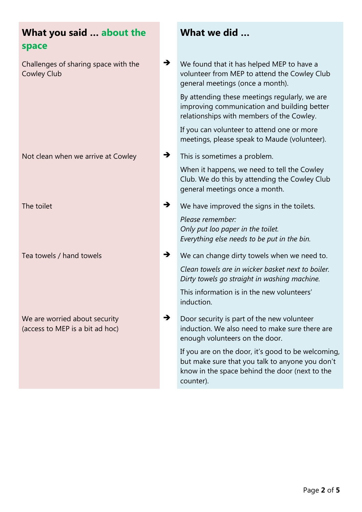| What you said  about the<br>space                                |               | What we did                                                                                                                                                          |
|------------------------------------------------------------------|---------------|----------------------------------------------------------------------------------------------------------------------------------------------------------------------|
| Challenges of sharing space with the<br><b>Cowley Club</b>       | $\rightarrow$ | We found that it has helped MEP to have a<br>volunteer from MEP to attend the Cowley Club<br>general meetings (once a month).                                        |
|                                                                  |               | By attending these meetings regularly, we are<br>improving communication and building better<br>relationships with members of the Cowley.                            |
|                                                                  |               | If you can volunteer to attend one or more<br>meetings, please speak to Maude (volunteer).                                                                           |
| Not clean when we arrive at Cowley                               | →             | This is sometimes a problem.                                                                                                                                         |
|                                                                  |               | When it happens, we need to tell the Cowley<br>Club. We do this by attending the Cowley Club<br>general meetings once a month.                                       |
| The toilet                                                       | →             | We have improved the signs in the toilets.                                                                                                                           |
|                                                                  |               | Please remember:<br>Only put loo paper in the toilet.<br>Everything else needs to be put in the bin.                                                                 |
| Tea towels / hand towels                                         | →             | We can change dirty towels when we need to.                                                                                                                          |
|                                                                  |               | Clean towels are in wicker basket next to boiler.<br>Dirty towels go straight in washing machine.                                                                    |
|                                                                  |               | This information is in the new volunteers'<br>induction.                                                                                                             |
| We are worried about security<br>(access to MEP is a bit ad hoc) | $\rightarrow$ | Door security is part of the new volunteer<br>induction. We also need to make sure there are<br>enough volunteers on the door.                                       |
|                                                                  |               | If you are on the door, it's good to be welcoming,<br>but make sure that you talk to anyone you don't<br>know in the space behind the door (next to the<br>counter). |
|                                                                  |               |                                                                                                                                                                      |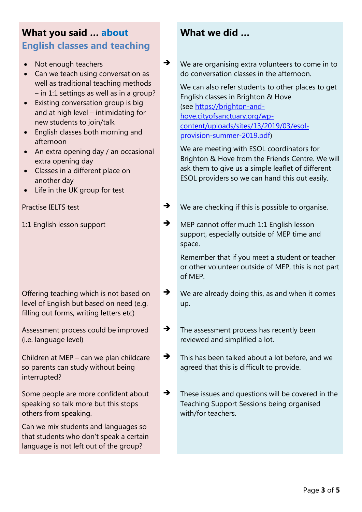# **What you said … about English classes and teaching**

- Not enough teachers
- **Can we teach using conversation as** well as traditional teaching methods – in 1:1 settings as well as in a group?
- Existing conversation group is big and at high level – intimidating for new students to join/talk
- English classes both morning and afternoon
- An extra opening day / an occasional extra opening day
- Classes in a different place on another day
- Life in the UK group for test

Offering teaching which is not based on level of English but based on need (e.g. filling out forms, writing letters etc)

Assessment process could be improved (i.e. language level)

Children at MEP – can we plan childcare so parents can study without being interrupted?

Some people are more confident about speaking so talk more but this stops others from speaking.

Can we mix students and languages so that students who don't speak a certain language is not left out of the group?

## **What we did …**

◆ We are organising extra volunteers to come in to do conversation classes in the afternoon.

We can also refer students to other places to get English classes in Brighton & Hove (see https://brighton-andhove.cityofsanctuary.org/wpcontent/uploads/sites/13/2019/03/esolprovision-summer-2019.pdf)

We are meeting with ESOL coordinators for Brighton & Hove from the Friends Centre. We will ask them to give us a simple leaflet of different ESOL providers so we can hand this out easily.

- Practise IELTS test  $\rightarrow$  We are checking if this is possible to organise.
- 1:1 English lesson support **Burger Communist State of the MEP** cannot offer much 1:1 English lesson support, especially outside of MEP time and space.

Remember that if you meet a student or teacher or other volunteer outside of MEP, this is not part of MEP.

- $\rightarrow$  We are already doing this, as and when it comes up.
- $\rightarrow$  The assessment process has recently been reviewed and simplified a lot.
- This has been talked about a lot before, and we agreed that this is difficult to provide.
- $\rightarrow$  These issues and questions will be covered in the Teaching Support Sessions being organised with/for teachers.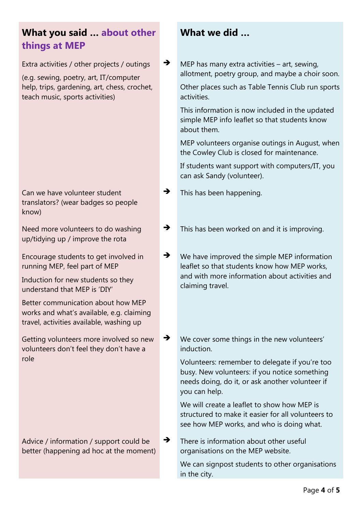## **What you said … about other things at MEP**

Extra activities / other projects / outings

(e.g. sewing, poetry, art, IT/computer help, trips, gardening, art, chess, crochet, teach music, sports activities)

### Can we have volunteer student translators? (wear badges so people know)

Need more volunteers to do washing up/tidying up / improve the rota

Encourage students to get involved in running MEP, feel part of MEP

Induction for new students so they understand that MEP is 'DIY'

Better communication about how MEP works and what's available, e.g. claiming travel, activities available, washing up

Getting volunteers more involved so new volunteers don't feel they don't have a role

#### Advice / information / support could be better (happening ad hoc at the moment)

## **What we did …**

 $\rightarrow$  MEP has many extra activities – art, sewing, allotment, poetry group, and maybe a choir soon.

Other places such as Table Tennis Club run sports activities.

This information is now included in the updated simple MEP info leaflet so that students know about them.

MEP volunteers organise outings in August, when the Cowley Club is closed for maintenance.

If students want support with computers/IT, you can ask Sandy (volunteer).

- $\rightarrow$  This has been happening.
- $\rightarrow$  This has been worked on and it is improving.
- $\rightarrow$  We have improved the simple MEP information leaflet so that students know how MEP works, and with more information about activities and claiming travel.
- ◆ We cover some things in the new volunteers' induction.

Volunteers: remember to delegate if you're too busy. New volunteers: if you notice something needs doing, do it, or ask another volunteer if you can help.

We will create a leaflet to show how MEP is structured to make it easier for all volunteers to see how MEP works, and who is doing what.

 $\rightarrow$  There is information about other useful organisations on the MEP website.

> We can signpost students to other organisations in the city.